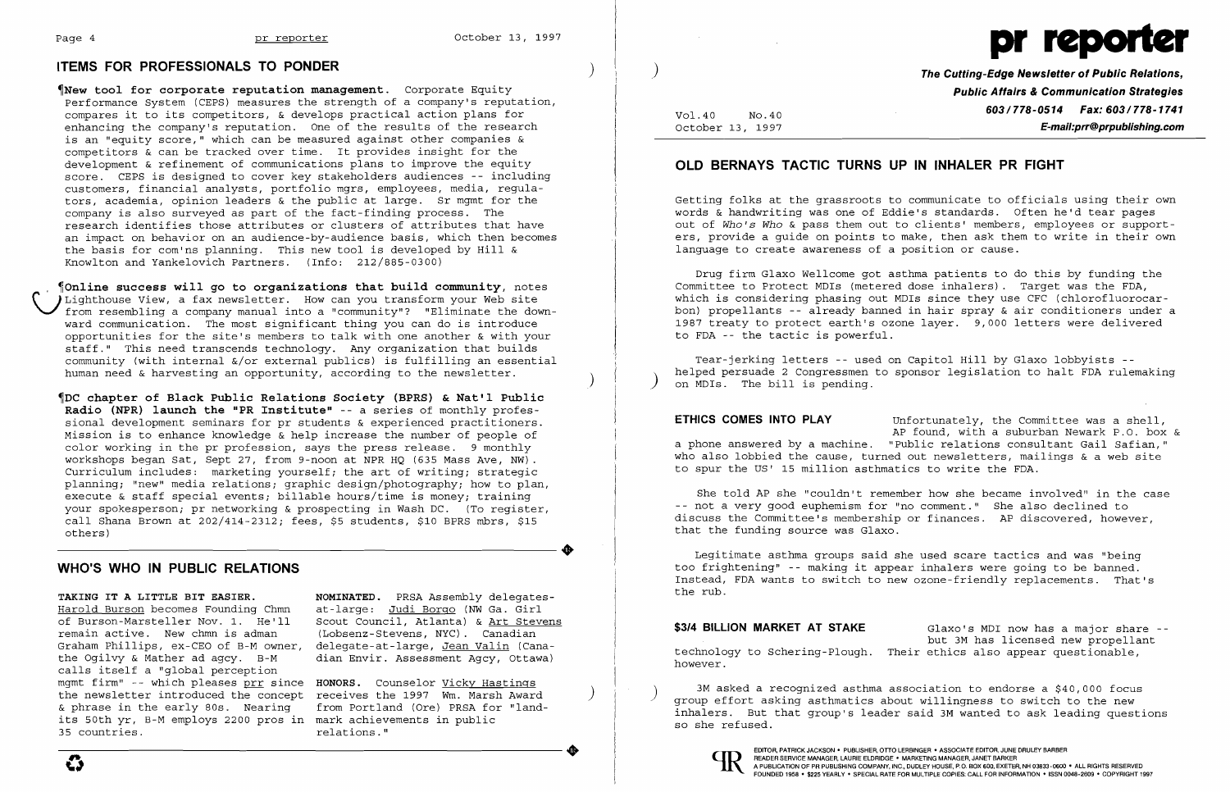

~New **tool for corporate reputation management.** Corporate Equity Performance System (CEPS) measures the strength of a company's reputation, compares it to its competitors, & develops practical action plans for enhancing the company's reputation. One of the results of the research is an "equity score," which can be measured against other companies & competitors & can be tracked over time. It provides insight for the development & refinement of communications plans to improve the equity score. CEPS is designed to cover key stakeholders audiences -- including customers, financial analysts, portfolio mgrs, employees, media, regulators, academia, opinion leaders & the public at large. Sr mgmt for the company is also surveyed as part of the fact-finding process. The research identifies those attributes or clusters of attributes that have an impact on behavior on an audience-by-audience basis, which then becomes discussed on a series of the absolute of absolute the basis for com'ns planning. This new tool is developed by Hill &<br>Knowlton and Yankelovich Partners. (Info: 212/885-0300)

 $\%$ Online success will go to organizations that build community, notes<br>)Lighthouse View, a fax newsletter. How can you transform your Web site from resembling a company manual into a "community"? "Eliminate the downward communication. The most significant thing you can do is introduce opportunities for the site's members to talk with one another & with your staff." This need transcends technology. Any organization that builds community (with internal &/or external publics) is fulfilling an essential human need & harvesting an opportunity, according to the newsletter.

# **ITEMS FOR PROFESSIONALS TO PONDER** )

~DC **chapter of Black Public Relations Society (BPRS) & Nat'l Public Radio (NPR) launch the "PR Institute"** -- a series of monthly profes sional development seminars for pr students & experienced practitioners. Mission is to enhance knowledge & help increase the number of people of color working in the pr profession, says the press release. 9 monthly workshops began Sat, Sept 27, from 9-noon at NPR HQ (635 Mass Ave, NW). Curriculum includes: marketing yourself; the art of writing; strategic planning; "new" media relations; graphic design/photography; how to plan, execute & staff special events; billable hours/time is money; training your spokesperson; pr networking & prospecting in Wash DC. (To register, call Shana Brown at 202/414-2312; fees, \$5 students, \$10 BPRS mbrs, \$15 others)

Tear-jerking letters -- used on Capitol Hill by Glaxo lobbyists helped persuade 2 Congressmen to sponsor legislation to halt FDA rulemaking on MDIs. The bill is pending.

**ETHICS COMES INTO PLAY** Unfortunately, the Committee was a shell, AP found, with a suburban Newark P.O. box & a phone answered by a machine. "Public relations consultant Gail Safian," who also lobbied the cause, turned out newsletters, mailings  $\&$  a web site to spur the US' 15 million asthmatics to write the FDA.

### **WHO'S WHO IN PUBLIC RELATIONS**

Harold Burson becomes Founding Chmn<br>of Burson-Marsteller Nov. 1. He'll of Burson-Marsteller Nov. 1. He'll Scout Council, Atlanta) & <u>Art Stevens</u><br>remain active. New chmn is adman (Lobsenz-Stevens, NYC). Canadian Graham Phillips, ex-CEO of B-M owner, delegate-at-large, <u>Jean Valin</u> (Cana-<br>the Ogilvy & Mather ad agcy. B-M dian Envir. Assessment Agcy, Ottawa) calls itself a "global perception mgmt firm" -- which pleases prr since HONORS. Counselor Vicky Hastings the newsletter introduced the concept receives the 1997 Wm. Marsh Award (1997) & phrase in the early 80s. Nearing from Portland (Ore) PRSA for "landits 50th yr, B-M employs 2200 pros in mark achievements in public 35 countries.

TAKING IT A LITTLE BIT EASIER. MOMINATED. PRSA Assembly delegates-<br>Harold Burson becomes Founding Chmn at-large: Judi Borgo (NW Ga. Girl (Lobsenz-Stevens, NYC). Canadian dian Envir. Assessment Agcy, Ottawa)

 $\blacksquare$ 

3M asked a recognized asthma association to endorse a \$40,000 focus group effort asking asthmatics about willingness to switch to the new inhalers. But that group's leader said 3M wanted to ask leading questions so she refused.



) **The Cutting-Edge Newsletter of Public Relations, Public Affairs & Communication Strategies 603/778-0514 <b>Fax: 603/778-1741**<br>October 13, 1997 **F-mail:prr@prpublishing.com** October 13, 1997 **E-mail:prr@prpublishing.com** 

# **OLD BERNAYS TACTIC TURNS UP IN INHALER PR FIGHT**

Getting folks at the grassroots to communicate to officials using their own words & handwriting was one of Eddie's standards. Often he'd tear pages out of *Who's Who* & pass them out to clients' members, employees or supporters, provide a guide on points to make, then ask them to write in their own language to create awareness of a position or cause.

Drug firm Glaxo Wellcome got asthma patients to do this by funding the Committee to Protect MDIs (metered dose inhalers). Target was the FDA, which is considering phasing out MDIs since they use CFC (chlorofluorocarbon) propellants -- already banned in hair spray & air conditioners under a 1987 treaty to protect earth's ozone layer. 9,000 letters were delivered to FDA -- the tactic is powerful.

She told AP she "couldn't remember how she became involved" in the case not a very good euphemism for "no comment." She also declined to discuss the Committee's membership or finances. AP discovered, however, that the funding source was Glaxo.

Legitimate asthma groups said she used scare tactics and was "being too frightening" -- making it appear inhalers were going to be banned. Instead, FDA wants to switch to new ozone-friendly replacements. That's the rub.

**\$3/4 BILLION MARKET AT STAKE** Glaxo's MDI now has a major share but 3M has licensed new propellant technology to Schering-Plough. Their ethics also appear questionable, however.